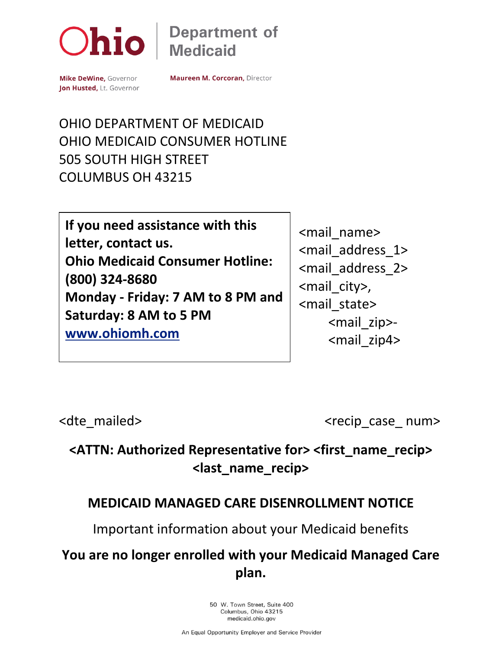

## **Department of Medicaid**

Mike DeWine, Governor Jon Husted, Lt. Governor **Maureen M. Corcoran, Director** 

### OHIO DEPARTMENT OF MEDICAID OHIO MEDICAID CONSUMER HOTLINE 505 SOUTH HIGH STREET COLUMBUS OH 43215

**If you need assistance with this letter, contact us. Ohio Medicaid Consumer Hotline: (800) 324-8680 Monday - Friday: 7 AM to 8 PM and Saturday: 8 AM to 5 PM [www.ohiomh.com](http://www.ohiomh.com/)**

<mail\_name> <mail\_address\_1> <mail\_address\_2> <mail\_city>, <mail\_state> <mail\_zip>- <mail\_zip4>

<dte mailed>
<dte mailed>
<dte mailed>
<dte mailed>
<dte mailed>
<dte mailed>
<dte mailed>
<dte mailed>
<dte mailed>
<dte mailed>
<dte mailed>
<dte mailed>
<dte mailed>
<dte mailed>
<dte mailed>
<dte mailed>
<dte mailed>
<

## **<ATTN: Authorized Representative for> <first\_name\_recip> <last\_name\_recip>**

#### **MEDICAID MANAGED CARE DISENROLLMENT NOTICE**

Important information about your Medicaid benefits

### **You are no longer enrolled with your Medicaid Managed Care plan.**

50 W. Town Street, Suite 400 Columbus, Ohio 43215 medicaid.ohio.gov